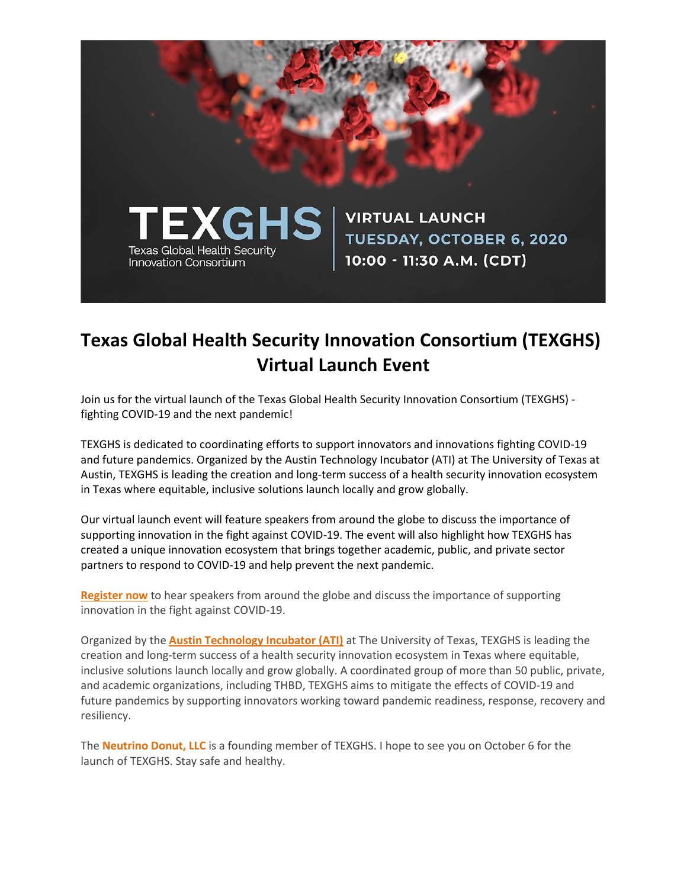

## **Texas Global Health Security Innovation Consortium (TEXGHS) Virtual Launch Event**

Join us for the virtual launch of the Texas Global Health Security Innovation Consortium (TEXGHS) fighting COVID-19 and the next pandemic!

TEXGHS is dedicated to coordinating efforts to support innovators and innovations fighting COVID-19 and future pandemics. Organized by the Austin Technology Incubator (ATI) at The University of Texas at Austin, TEXGHS is leading the creation and long-term success of a health security innovation ecosystem in Texas where equitable, inclusive solutions launch locally and grow globally.

Our virtual launch event will feature speakers from around the globe to discuss the importance of supporting innovation in the fight against COVID-19. The event will also highlight how TEXGHS has created a unique innovation ecosystem that brings together academic, public, and private sector partners to respond to COVID-19 and help prevent the next pandemic.

**[Register now](https://www.eventbrite.com/e/texas-global-health-security-innovation-consortium-texghs-virtual-launch-tickets-119282074897)** to hear speakers from around the globe and discuss the importance of supporting innovation in the fight against COVID-19.

Organized by the **[Austin Technology Incubator \(ATI\)](https://ati.utexas.edu/)** at The University of Texas, TEXGHS is leading the creation and long-term success of a health security innovation ecosystem in Texas where equitable, inclusive solutions launch locally and grow globally. A coordinated group of more than 50 public, private, and academic organizations, including THBD, TEXGHS aims to mitigate the effects of COVID-19 and future pandemics by supporting innovators working toward pandemic readiness, response, recovery and resiliency.

The **[Neutrino Donut, LLC](https://neutrinodonut.com/)** is a founding member of TEXGHS. I hope to see you on October 6 for the launch of TEXGHS. Stay safe and healthy.